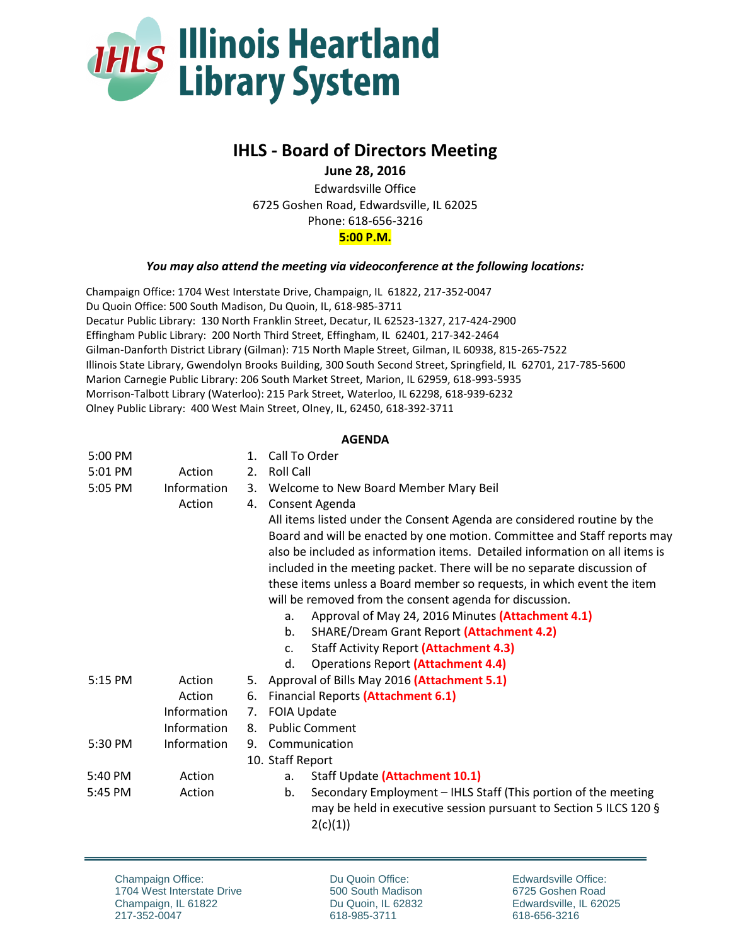

## **IHLS - Board of Directors Meeting**

**June 28, 2016**

Edwardsville Office 6725 Goshen Road, Edwardsville, IL 62025 Phone: 618-656-3216 **5:00 P.M.**

## *You may also attend the meeting via videoconference at the following locations:*

Champaign Office: 1704 West Interstate Drive, Champaign, IL 61822, 217-352-0047 Du Quoin Office: 500 South Madison, Du Quoin, IL, 618-985-3711 Decatur Public Library: 130 North Franklin Street, Decatur, IL 62523-1327, 217-424-2900 Effingham Public Library: 200 North Third Street, Effingham, IL 62401, 217-342-2464 Gilman-Danforth District Library (Gilman): 715 North Maple Street, Gilman, IL 60938, 815-265-7522 Illinois State Library, Gwendolyn Brooks Building, 300 South Second Street, Springfield, IL 62701, 217-785-5600 Marion Carnegie Public Library: 206 South Market Street, Marion, IL 62959, 618-993-5935 Morrison-Talbott Library (Waterloo): 215 Park Street, Waterloo, IL 62298, 618-939-6232 Olney Public Library: 400 West Main Street, Olney, IL, 62450, 618-392-3711

## **AGENDA**

| 5:00 PM   |             | $1_{-}$ | Call To Order                                                               |
|-----------|-------------|---------|-----------------------------------------------------------------------------|
| 5:01 PM   | Action      | 2.      | <b>Roll Call</b>                                                            |
| 5:05 PM   | Information |         | 3. Welcome to New Board Member Mary Beil                                    |
|           | Action      | 4.      | Consent Agenda                                                              |
|           |             |         | All items listed under the Consent Agenda are considered routine by the     |
|           |             |         | Board and will be enacted by one motion. Committee and Staff reports may    |
|           |             |         | also be included as information items. Detailed information on all items is |
|           |             |         | included in the meeting packet. There will be no separate discussion of     |
|           |             |         | these items unless a Board member so requests, in which event the item      |
|           |             |         | will be removed from the consent agenda for discussion.                     |
|           |             |         | Approval of May 24, 2016 Minutes (Attachment 4.1)<br>a.                     |
|           |             |         | b.<br><b>SHARE/Dream Grant Report (Attachment 4.2)</b>                      |
|           |             |         | <b>Staff Activity Report (Attachment 4.3)</b><br>C <sub>1</sub>             |
|           |             |         | <b>Operations Report (Attachment 4.4)</b><br>d.                             |
| $5:15$ PM | Action      | 5.      | Approval of Bills May 2016 (Attachment 5.1)                                 |
|           | Action      | 6.      | <b>Financial Reports (Attachment 6.1)</b>                                   |
|           | Information | 7.      | <b>FOIA Update</b>                                                          |
|           | Information | 8.      | <b>Public Comment</b>                                                       |
| 5:30 PM   | Information | 9.      | Communication                                                               |
|           |             |         | 10. Staff Report                                                            |
| 5:40 PM   | Action      |         | Staff Update (Attachment 10.1)<br>a.                                        |
| 5:45 PM   | Action      |         | Secondary Employment - IHLS Staff (This portion of the meeting<br>b.        |
|           |             |         | may be held in executive session pursuant to Section 5 ILCS 120 §           |
|           |             |         | 2(c)(1))                                                                    |

Du Quoin Office: 500 South Madison Du Quoin, IL 62832 618-985-3711

Edwardsville Office: 6725 Goshen Road Edwardsville, IL 62025 618-656-3216